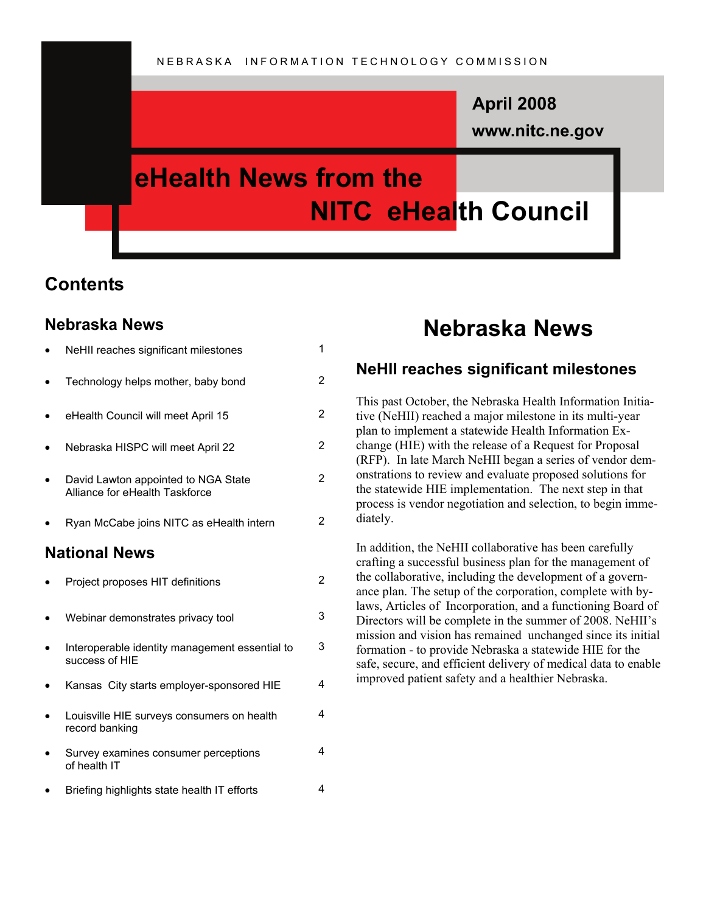# **www.nitc.ne.gov April 2008**

# **eHealth News from the NITC eHealth Council**

# **Contents**

# **Nebraska News**

|                      | NeHII reaches significant milestones                                  | 1              |
|----------------------|-----------------------------------------------------------------------|----------------|
|                      | Technology helps mother, baby bond                                    | 2              |
|                      | eHealth Council will meet April 15                                    | 2              |
|                      | Nebraska HISPC will meet April 22                                     | $\overline{2}$ |
|                      | David Lawton appointed to NGA State<br>Alliance for eHealth Taskforce | 2              |
|                      | Ryan McCabe joins NITC as eHealth intern                              | 2              |
| <b>National News</b> |                                                                       |                |
|                      | Project proposes HIT definitions                                      | 2              |
|                      | Webinar demonstrates privacy tool                                     | 3              |
|                      | Interoperable identity management essential to<br>success of HIE      | 3              |
|                      | Kansas City starts employer-sponsored HIE                             | 4              |
|                      | Louisville HIE surveys consumers on health<br>record banking          | 4              |
|                      | Survey examines consumer perceptions<br>of health IT                  | 4              |
|                      | Briefing highlights state health IT efforts                           | 4              |

# **Nebraska News**

# **NeHII reaches significant milestones**

This past October, the Nebraska Health Information Initiative (NeHII) reached a major milestone in its multi-year plan to implement a statewide Health Information Exchange (HIE) with the release of a Request for Proposal (RFP). In late March NeHII began a series of vendor demonstrations to review and evaluate proposed solutions for the statewide HIE implementation. The next step in that process is vendor negotiation and selection, to begin immediately.

In addition, the NeHII collaborative has been carefully crafting a successful business plan for the management of the collaborative, including the development of a governance plan. The setup of the corporation, complete with bylaws, Articles of Incorporation, and a functioning Board of Directors will be complete in the summer of 2008. NeHII's mission and vision has remained unchanged since its initial formation - to provide Nebraska a statewide HIE for the safe, secure, and efficient delivery of medical data to enable improved patient safety and a healthier Nebraska.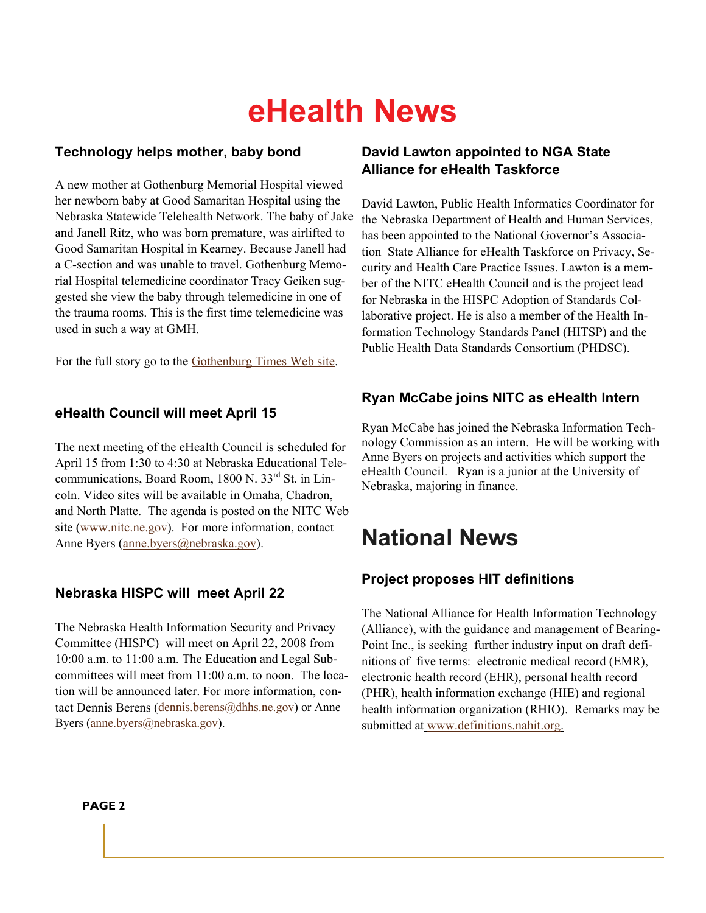### **Technology helps mother, baby bond**

A new mother at Gothenburg Memorial Hospital viewed her newborn baby at Good Samaritan Hospital using the Nebraska Statewide Telehealth Network. The baby of Jake and Janell Ritz, who was born premature, was airlifted to Good Samaritan Hospital in Kearney. Because Janell had a C-section and was unable to travel. Gothenburg Memorial Hospital telemedicine coordinator Tracy Geiken suggested she view the baby through telemedicine in one of the trauma rooms. This is the first time telemedicine was used in such a way at GMH.

[For](http://www.gothenburgtimes.com/vnews/display.v/ART/2008/03/28/47ebec9fdaea3?in_archive=1) the full story go to the G[othenburg Times Web site.](http://www.gothenburgtimes.com/vnews/display.v/ART/2008/03/28/47ebec9fdaea3?in_archive=1) 

#### **eHealth Council will meet April 15**

The next meeting of the eHealth Council is scheduled for April 15 from 1:30 to 4:30 at Nebraska Educational Telecommunications, Board Room, 1800 N. 33<sup>rd</sup> St. in Lincoln. Video sites will be available in Omaha, Chadron, and North Platte. The agenda is [posted on the NITC](http://www.nitc.ne.gov/) Web site (www.nitc.ne.gov). For more information, contact [Anne Byers \(anne.byers@neb](mailto:anne.byers@nebraska.gov)raska.gov).

# **Nebraska HISPC will meet April 22**

The Nebraska Health Information Security and Privacy Committee (HISPC) will meet on April 22, 2008 from 10:00 a.m. to 11:00 a.m. The Education and Legal Subcommittees will meet from 11:00 a.m. to noon. The locat[ion will be announced later. F](mailto:dennis.berens@dhhs.ne.gov)or more information, cont[act Dennis Berens \(dennis.b](mailto:anne.byers@nebraska.gov)erens@dhhs.ne.gov) or Anne Byers (anne.byers@nebraska.gov).

## **David Lawton appointed to NGA State Alliance for eHealth Taskforce**

David Lawton, Public Health Informatics Coordinator for the Nebraska Department of Health and Human Services, has been appointed to the National Governor's Association State Alliance for eHealth Taskforce on Privacy, Security and Health Care Practice Issues. Lawton is a member of the NITC eHealth Council and is the project lead for Nebraska in the HISPC Adoption of Standards Collaborative project. He is also a member of the Health Information Technology Standards Panel (HITSP) and the Public Health Data Standards Consortium (PHDSC).

## **Ryan McCabe joins NITC as eHealth Intern**

Ryan McCabe has joined the Nebraska Information Technology Commission as an intern. He will be working with Anne Byers on projects and activities which support the eHealth Council. Ryan is a junior at the University of Nebraska, majoring in finance.

# **National News**

# **Project proposes HIT definitions**

The National Alliance for Health Information Technology (Alliance), with the guidance and management of Bearing-Point Inc., is seeking further industry input on draft definitions of five terms: electronic medical record (EMR), electr[onic health record \(EHR\), pers](http://www.definitions.nahit.org/)onal health record (PHR), health information exchange (HIE) and regional health information organization (RHIO). Remarks may be submitted at www.definitions.nahit.org.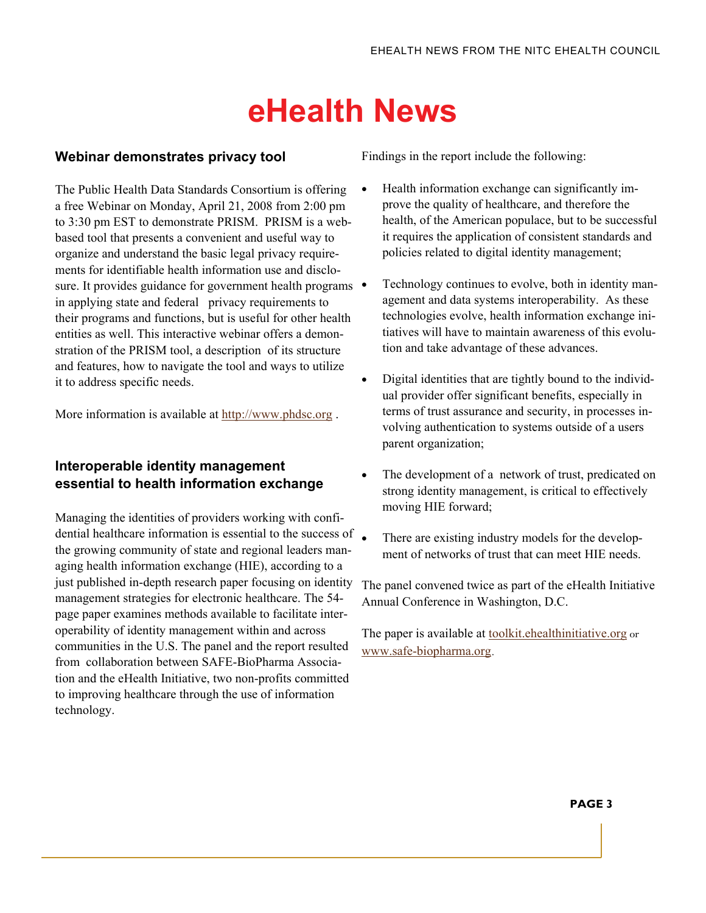#### **Webinar demonstrates privacy tool**

The Public Health Data Standards Consortium is offering a free Webinar on Monday, April 21, 2008 from 2:00 pm to 3:30 pm EST to demonstrate PRISM. PRISM is a webbased tool that presents a convenient and useful way to organize and understand the basic legal privacy requirements for identifiable health information use and disclosure. It provides guidance for government health programs  $\bullet$ in applying state and federal privacy requirements to their programs and functions, but is useful for other health entities as well. This interactive webinar offers a demonstration of the PRISM tool, a description of its structure and features, how to navigate the tool and ways to utilize it to address specific needs.

[More information](http://www.phdsc.org/prism/webinar.asp) is available at http://www.phdsc.org .

## **Interoperable identity management essential to health information exchange**

Managing the identities of providers working with confidential healthcare information is essential to the success of  $\blacksquare$ the growing community of state and regional leaders managing health information exchange (HIE), according to a just published in-depth research paper focusing on identity management strategies for electronic healthcare. The 54 page paper examines methods available to facilitate interoperability of identity management within and across communities in the U.S. The panel and the report resulted from collaboration between SAFE-BioPharma Association and the eHealth Initiative, two non-profits committed to improving healthcare through the use of information technology.

Findings in the report include the following:

- Health information exchange can significantly improve the quality of healthcare, and therefore the health, of the American populace, but to be successful it requires the application of consistent standards and policies related to digital identity management;
- Technology continues to evolve, both in identity management and data systems interoperability. As these technologies evolve, health information exchange initiatives will have to maintain awareness of this evolution and take advantage of these advances.
- Digital identities that are tightly bound to the individual provider offer significant benefits, especially in terms of trust assurance and security, in processes involving authentication to systems outside of a users parent organization;
- The development of a network of trust, predicated on strong identity management, is critical to effectively moving HIE forward;
- There are existing industry models for the development of networks of trust that can meet HIE needs.

The panel convened twice as part of the eHealth Initiative Annual Conference in Washington, D.C.

The paper is available at **toolkit**.ehealthinitiative.org or w[ww.safe-biopharma.org](http://www.safe-biopharma.org).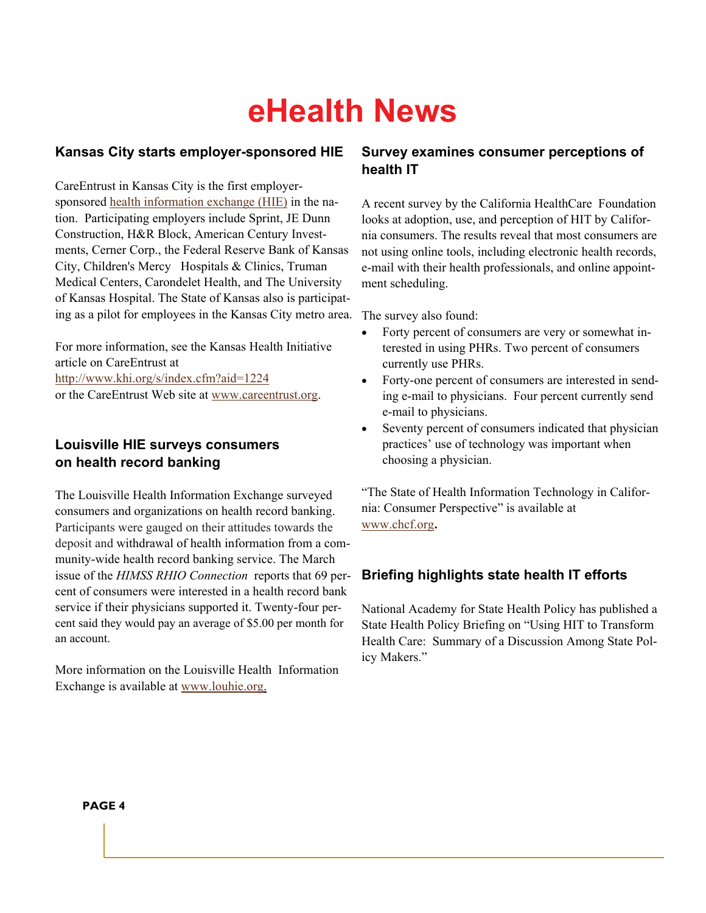### **Kansas City starts employer-sponsored HIE**

CareEntrus[t in Kansas City is the first employer](http://www.khi.org/s/index.cfm?aid=1222)sponsored health information exchange (HIE) in the nation. Participating employers include Sprint, JE Dunn Construction, H&R Block, American Century Investments, Cerner Corp., the Federal Reserve Bank of Kansas City, Children's Mercy Hospitals & Clinics, Truman Medical Centers, Carondelet Health, and The University of Kansas Hospital. The State of Kansas also is participating as a pilot for employees in the Kansas City metro area.

For more information, see the Kansas Health Initiative [article on CareEntrust at](http://www.khi.org/s/index.cfm?aid=1224)  http://www.khi.org/s/index.cfm?[aid=1224](http://www.careentrust.org/)  or the CareEntrust Web site at www.careentrust.org.

### **Louisville HIE surveys consumers on health record banking**

The Louisville Health Information Exchange surveyed consumers and organizations on health record banking. Participants were gauged on their attitudes towards the deposit and withdrawal of health information from a community-wide health record banking service. The March issue of the *HIMSS RHIO Connection* reports that 69 percent of consumers were interested in a health record bank service if their physicians supported it. Twenty-four percent said they would pay an average of \$5.00 per month for an account.

More information on the Louisville Health Information Exchange is available at www.louhie.org.

### **Survey examines consumer perceptions of health IT**

A recent survey by the California HealthCare Foundation looks at adoption, use, and perception of HIT by California consumers. The results reveal that most consumers are not using online tools, including electronic health records, e-mail with their health professionals, and online appointment scheduling.

The survey also found:

- Forty percent of consumers are very or somewhat interested in using PHRs. Two percent of consumers currently use PHRs.
- Forty-one percent of consumers are interested in sending e-mail to physicians. Four percent currently send e-mail to physicians.
- Seventy percent of consumers indicated that physician practices' use of technology was important when choosing a physician.

["The State of H](http://www.chcf.org/)ealth Information Technology in California: Consumer Perspective" is available at www.chcf.org**.** 

# **Briefing highlights state health IT efforts**

National Academy for State Health Policy has published a State Health Policy Briefing on "Using HIT to Transform Health Care: Summary of a Discussion Among State Policy Makers."